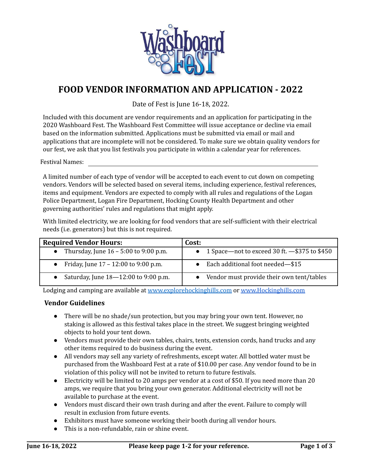

## **FOOD VENDOR INFORMATION AND APPLICATION - 2022**

Date of Fest is June 16-18, 2022.

Included with this document are vendor requirements and an application for participating in the 2020 Washboard Fest. The Washboard Fest Committee will issue acceptance or decline via email based on the information submitted. Applications must be submitted via email or mail and applications that are incomplete will not be considered. To make sure we obtain quality vendors for our fest, we ask that you list festivals you participate in within a calendar year for references.

Festival Names:

A limited number of each type of vendor will be accepted to each event to cut down on competing vendors. Vendors will be selected based on several items, including experience, festival references, items and equipment. Vendors are expected to comply with all rules and regulations of the Logan Police Department, Logan Fire Department, Hocking County Health Department and other governing authorities' rules and regulations that might apply.

With limited electricity, we are looking for food vendors that are self-sufficient with their electrical needs (i.e. generators) but this is not required.

| <b>Required Vendor Hours:</b>           | Cost:                                             |
|-----------------------------------------|---------------------------------------------------|
| Thursday, June $16 - 5:00$ to 9:00 p.m. | • 1 Space—not to exceed 30 ft. $-$ \$375 to \$450 |
| Friday, June 17 – 12:00 to 9:00 p.m.    | Each additional foot needed-\$15                  |
| Saturday, June 18-12:00 to 9:00 p.m.    | • Vendor must provide their own tent/tables       |

Lodging and camping are available at [www.explorehockinghills.com](http://www.explorehockinghills.com) or [www.Hockinghills.com](http://www.hockinghills.com)

#### **Vendor Guidelines**

- There will be no shade/sun protection, but you may bring your own tent. However, no staking is allowed as this festival takes place in the street. We suggest bringing weighted objects to hold your tent down.
- Vendors must provide their own tables, chairs, tents, extension cords, hand trucks and any other items required to do business during the event.
- All vendors may sell any variety of refreshments, except water. All bottled water must be purchased from the Washboard Fest at a rate of \$10.00 per case. Any vendor found to be in violation of this policy will not be invited to return to future festivals.
- Electricity will be limited to 20 amps per vendor at a cost of \$50. If you need more than 20 amps, we require that you bring your own generator. Additional electricity will not be available to purchase at the event.
- Vendors must discard their own trash during and after the event. Failure to comply will result in exclusion from future events.
- Exhibitors must have someone working their booth during all vendor hours.
- This is a non-refundable, rain or shine event.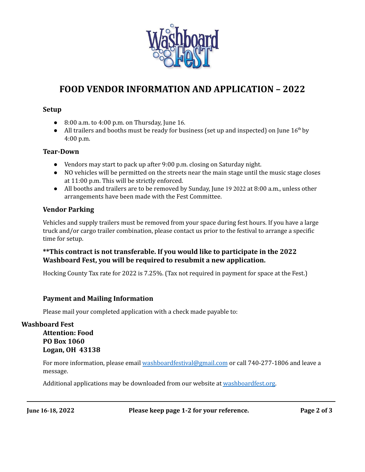

# **FOOD VENDOR INFORMATION AND APPLICATION – 2022**

#### **Setup**

- $\bullet$  8:00 a.m. to 4:00 p.m. on Thursday, June 16.
- All trailers and booths must be ready for business (set up and inspected) on June  $16<sup>th</sup>$  by 4:00 p.m.

#### **Tear-Down**

- Vendors may start to pack up after 9:00 p.m. closing on Saturday night.
- NO vehicles will be permitted on the streets near the main stage until the music stage closes at 11:00 p.m. This will be strictly enforced.
- All booths and trailers are to be removed by Sunday, June 19 2022 at 8:00 a.m., unless other arrangements have been made with the Fest Committee.

#### **Vendor Parking**

Vehicles and supply trailers must be removed from your space during fest hours. If you have a large truck and/or cargo trailer combination, please contact us prior to the festival to arrange a specific time for setup.

#### **\*\*This contract is not transferable. If you would like to participate in the 2022 Washboard Fest, you will be required to resubmit a new application.**

Hocking County Tax rate for 2022 is 7.25%. (Tax not required in payment for space at the Fest.)

#### **Payment and Mailing Information**

Please mail your completed application with a check made payable to:

### **Washboard Fest Attention: Food PO Box 1060 Logan, OH 43138**

For more information, please email [washboardfestival@gmail.com](mailto:washboardfestival@gmail.com) or call 740-277-1806 and leave a message.

Additional applications may be downloaded from our website at [washboardfest.org.](http://washboardfest.org)